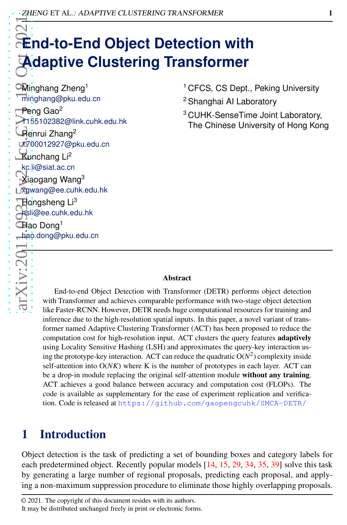# **End-to-End Object Detection with Adaptive Clustering Transformer**

 $\arg\min_{\theta\in\mathcal{X}}\sum_{i=1}^{n}\log\max_{\theta\in\mathcal{X}}\sum_{i=1}^{n}\log\max_{\theta\in\mathcal{X}}\frac{1}{n}\log\frac{1}{n}\log\frac{1}{n}\log\frac{1}{n}\log\frac{1}{n}$ Minghang Zheng<sup>1</sup> minghang@pku.edu.cn Peng Gao<sup>2</sup> 155102382@link.cuhk.edu.hk Renrui Zhang<sup>2</sup> 1700012927@pku.edu.cn  $\mathbb{K}$ unchang Li<sup>2</sup> kc.li@siat.ac.cn Xiaogang Wang<sup>3</sup> xgwang@ee.cuhk.edu.hk  $\overline{\mathbb{H}}$ ongsheng Li<sup>3</sup> hsli@ee.cuhk.edu.hk Hao Dong<sup>1</sup> hao.dong@pku.edu.cn  $\alpha$  Xiv:201

- <sup>1</sup> CFCS, CS Dept., Peking University
- <sup>2</sup> Shanghai AI Laboratory
- <sup>3</sup> CUHK-SenseTime Joint Laboratory, The Chinese University of Hong Kong

#### Abstract

End-to-end Object Detection with Transformer (DETR) performs object detection with Transformer and achieves comparable performance with two-stage object detection like Faster-RCNN. However, DETR needs huge computational resources for training and inference due to the high-resolution spatial inputs. In this paper, a novel variant of transformer named Adaptive Clustering Transformer (ACT) has been proposed to reduce the computation cost for high-resolution input. ACT clusters the query features adaptively using Locality Sensitive Hashing (LSH) and approximates the query-key interaction using the prototype-key interaction. ACT can reduce the quadratic  $O(N^2)$  complexity inside self-attention into  $O(NK)$  where K is the number of prototypes in each layer. ACT can be a drop-in module replacing the original self-attention module without any training. ACT achieves a good balance between accuracy and computation cost (FLOPs). The code is available as supplementary for the ease of experiment replication and verification. Code is released at <https://github.com/gaopengcuhk/SMCA-DETR/>

## 1 Introduction

Object detection is the task of predicting a set of bounding boxes and category labels for each predetermined object. Recently popular models [\[14,](#page-11-0) [15](#page-11-1), [29](#page-12-0), [34,](#page-12-1) [35,](#page-12-2) [39\]](#page-12-3) solve this task by generating a large number of regional proposals, predicting each proposal, and applying a non-maximum suppression procedure to eliminate those highly overlapping proposals.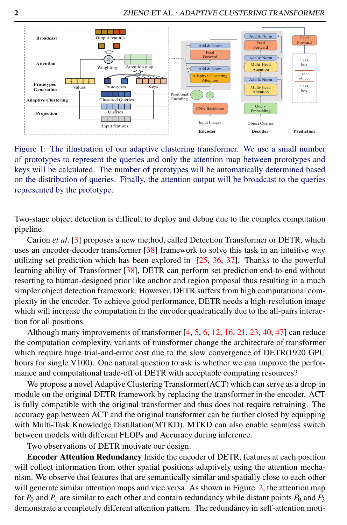

<span id="page-1-0"></span>Figure 1: The illustration of our adaptive clustering transformer. We use a small number of prototypes to represent the queries and only the attention map between prototypes and keys will be calculated. The number of prototypes will be automatically determined based on the distribution of queries. Finally, the attention output will be broadcast to the queries represented by the prototype.

Two-stage object detection is difficult to deploy and debug due to the complex computation pipeline.

Carion *et al*. [\[3\]](#page-10-0) proposes a new method, called Detection Transformer or DETR, which uses an encoder-decoder transformer [\[38](#page-12-4)] framework to solve this task in an intuitive way utilizing set prediction which has been explored in  $[25, 36, 37]$  $[25, 36, 37]$  $[25, 36, 37]$  $[25, 36, 37]$  $[25, 36, 37]$ . Thanks to the powerful learning ability of Transformer [\[38\]](#page-12-4), DETR can perform set prediction end-to-end without resorting to human-designed prior like anchor and region proposal thus resulting in a much simpler object detection framework. However, DETR suffers from high computational complexity in the encoder. To achieve good performance, DETR needs a high-resolution image which will increase the computation in the encoder quadratically due to the all-pairs interaction for all positions.

Although many improvements of transformer [\[4](#page-10-1), [5](#page-10-2), [6](#page-10-3), [12](#page-11-3), [16](#page-11-4), [21](#page-11-5), [23](#page-11-6), [40](#page-12-7), [47](#page-13-0)] can reduce the computation complexity, variants of transformer change the architecture of transformer which require huge trial-and-error cost due to the slow convergence of DETR(1920 GPU hours for single V100). One natural question to ask is whether we can improve the performance and computational trade-off of DETR with acceptable computing resources?

We propose a novel Adaptive Clustering Transformer(ACT) which can serve as a drop-in module on the original DETR framework by replacing the transformer in the encoder. ACT is fully compatible with the original transformer and thus does not require retraining. The accuracy gap between ACT and the original transformer can be further closed by equipping with Multi-Task Knowledge Distillation(MTKD). MTKD can also enable seamless switch between models with different FLOPs and Accuracy during inference.

Two observations of DETR motivate our design.

Encoder Attention Redundancy Inside the encoder of DETR, features at each position will collect information from other spatial positions adaptively using the attention mechanism. We observe that features that are semantically similar and spatially close to each other will generate similar attention maps and vice versa. As shown in Figure [2,](#page-2-0) the attention map for  $P_0$  and  $P_1$  are similar to each other and contain redundancy while distant points  $P_0$  and  $P_3$ demonstrate a completely different attention pattern. The redundancy in self-attention moti-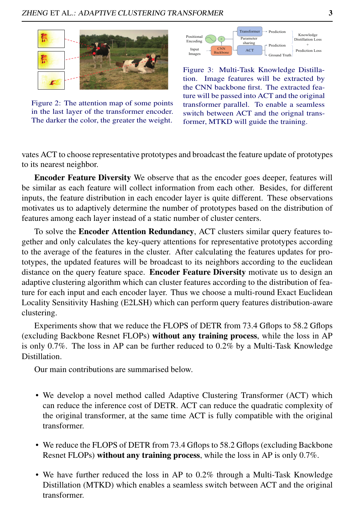

Figure 2: The attention map of some points in the last layer of the transformer encoder. The darker the color, the greater the weight.



<span id="page-2-1"></span>Figure 3: Multi-Task Knowledge Distillation. Image features will be extracted by the CNN backbone first. The extracted feature will be passed into ACT and the original transformer parallel. To enable a seamless switch between ACT and the orignal transformer, MTKD will guide the training.

<span id="page-2-0"></span>vates ACT to choose representative prototypes and broadcast the feature update of prototypes to its nearest neighbor.

Encoder Feature Diversity We observe that as the encoder goes deeper, features will be similar as each feature will collect information from each other. Besides, for different inputs, the feature distribution in each encoder layer is quite different. These observations motivates us to adaptively determine the number of prototypes based on the distribution of features among each layer instead of a static number of cluster centers.

To solve the Encoder Attention Redundancy, ACT clusters similar query features together and only calculates the key-query attentions for representative prototypes according to the average of the features in the cluster. After calculating the features updates for prototypes, the updated features will be broadcast to its neighbors according to the euclidean distance on the query feature space. **Encoder Feature Diversity** motivate us to design an adaptive clustering algorithm which can cluster features according to the distribution of feature for each input and each encoder layer. Thus we choose a multi-round Exact Euclidean Locality Sensitivity Hashing (E2LSH) which can perform query features distribution-aware clustering.

Experiments show that we reduce the FLOPS of DETR from 73.4 Gflops to 58.2 Gflops (excluding Backbone Resnet FLOPs) without any training process, while the loss in AP is only 0.7%. The loss in AP can be further reduced to 0.2% by a Multi-Task Knowledge Distillation.

Our main contributions are summarised below.

- We develop a novel method called Adaptive Clustering Transformer (ACT) which can reduce the inference cost of DETR. ACT can reduce the quadratic complexity of the original transformer, at the same time ACT is fully compatible with the original transformer.
- We reduce the FLOPS of DETR from 73.4 Gflops to 58.2 Gflops (excluding Backbone Resnet FLOPs) without any training process, while the loss in AP is only 0.7%.
- We have further reduced the loss in AP to 0.2% through a Multi-Task Knowledge Distillation (MTKD) which enables a seamless switch between ACT and the original transformer.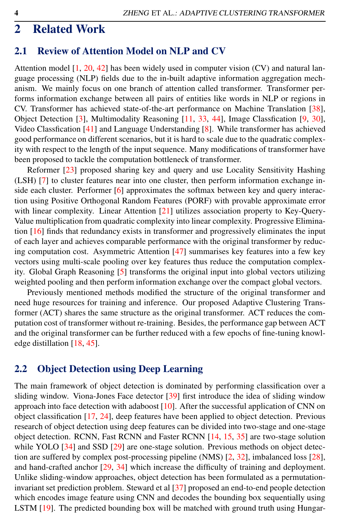## 2 Related Work

#### 2.1 Review of Attention Model on NLP and CV

Attention model [\[1](#page-10-4), [20,](#page-11-7) [42\]](#page-13-1) has been widely used in computer vision (CV) and natural language processing (NLP) fields due to the in-built adaptive information aggregation mechanism. We mainly focus on one branch of attention called transformer. Transformer performs information exchange between all pairs of entities like words in NLP or regions in CV. Transformer has achieved state-of-the-art performance on Machine Translation [\[38](#page-12-4)], Object Detection [\[3\]](#page-10-0), Multimodality Reasoning [\[11](#page-10-5), [33](#page-12-8), [44\]](#page-13-2), Image Classfication [\[9,](#page-10-6) [30](#page-12-9)], Video Classfication [\[41](#page-13-3)] and Language Understanding [\[8\]](#page-10-7). While transformer has achieved good performance on different scenarios, but it is hard to scale due to the quadratic complexity with respect to the length of the input sequence. Many modifications of transformer have been proposed to tackle the computation bottleneck of transformer.

Reformer [\[23](#page-11-6)] proposed sharing key and query and use Locality Sensitivity Hashing (LSH) [\[7](#page-10-8)] to cluster features near into one cluster, then perform information exchange inside each cluster. Performer [\[6\]](#page-10-3) approximates the softmax between key and query interaction using Positive Orthogonal Random Features (PORF) with provable approximate error with linear complexity. Linear Attention [\[21\]](#page-11-5) utilizes association property to Key-Query-Value multiplication from quadratic complexity into linear complexity. Progressive Elimination [\[16\]](#page-11-4) finds that redundancy exists in transformer and progressively eliminates the input of each layer and achieves comparable performance with the original transformer by reducing computation cost. Asymmetric Attention [\[47](#page-13-0)] summarises key features into a few key vectors using multi-scale pooling over key features thus reduce the computation complexity. Global Graph Reasoning [\[5](#page-10-2)] transforms the original input into global vectors utilizing weighted pooling and then perform information exchange over the compact global vectors.

Previously mentioned methods modified the structure of the original transformer and need huge resources for training and inference. Our proposed Adaptive Clustering Transformer (ACT) shares the same structure as the original transformer. ACT reduces the computation cost of transformer without re-training. Besides, the performance gap between ACT and the original transformer can be further reduced with a few epochs of fine-tuning knowledge distillation [\[18,](#page-11-8) [45\]](#page-13-4).

#### 2.2 Object Detection using Deep Learning

The main framework of object detection is dominated by performing classification over a sliding window. Viona-Jones Face detector [\[39\]](#page-12-3) first introduce the idea of sliding window approach into face detection with adaboost [\[10\]](#page-10-9). After the successful application of CNN on object classification [\[17](#page-11-9), [24\]](#page-11-10), deep features have been applied to object detection. Previous research of object detection using deep features can be divided into two-stage and one-stage object detection. RCNN, Fast RCNN and Faster RCNN [\[14,](#page-11-0) [15](#page-11-1), [35](#page-12-2)] are two-stage solution while YOLO [\[34\]](#page-12-1) and SSD [\[29\]](#page-12-0) are one-stage solution. Previous methods on object detection are suffered by complex post-processing pipeline (NMS) [\[2,](#page-10-10) [32\]](#page-12-10), imbalanced loss [\[28](#page-12-11)], and hand-crafted anchor [\[29](#page-12-0), [34\]](#page-12-1) which increase the difficulty of training and deployment. Unlike sliding-window approaches, object detection has been formulated as a permutationinvariant set prediction problem. Steward et al [\[37\]](#page-12-6) proposed an end-to-end people detection which encodes image feature using CNN and decodes the bounding box sequentially using LSTM [\[19\]](#page-11-11). The predicted bounding box will be matched with ground truth using Hungar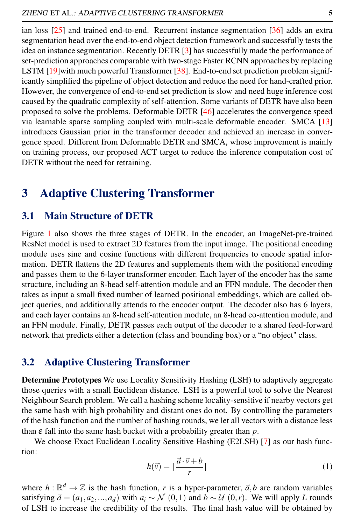ian loss [\[25\]](#page-11-2) and trained end-to-end. Recurrent instance segmentation [\[36](#page-12-5)] adds an extra segmentation head over the end-to-end object detection framework and successfully tests the idea on instance segmentation. Recently DETR [\[3](#page-10-0)] has successfully made the performance of set-prediction approaches comparable with two-stage Faster RCNN approaches by replacing LSTM [\[19\]](#page-11-11)with much powerful Transformer [\[38](#page-12-4)]. End-to-end set prediction problem significantly simplified the pipeline of object detection and reduce the need for hand-crafted prior. However, the convergence of end-to-end set prediction is slow and need huge inference cost caused by the quadratic complexity of self-attention. Some variants of DETR have also been proposed to solve the problems. Deformable DETR [\[46](#page-13-5)] accelerates the convergence speed via learnable sparse sampling coupled with multi-scale deformable encoder. SMCA [\[13](#page-11-12)] introduces Gaussian prior in the transformer decoder and achieved an increase in convergence speed. Different from Deformable DETR and SMCA, whose improvement is mainly on training process, our proposed ACT target to reduce the inference computation cost of DETR without the need for retraining.

## 3 Adaptive Clustering Transformer

#### 3.1 Main Structure of DETR

Figure [1](#page-1-0) also shows the three stages of DETR. In the encoder, an ImageNet-pre-trained ResNet model is used to extract 2D features from the input image. The positional encoding module uses sine and cosine functions with different frequencies to encode spatial information. DETR flattens the 2D features and supplements them with the positional encoding and passes them to the 6-layer transformer encoder. Each layer of the encoder has the same structure, including an 8-head self-attention module and an FFN module. The decoder then takes as input a small fixed number of learned positional embeddings, which are called object queries, and additionally attends to the encoder output. The decoder also has 6 layers, and each layer contains an 8-head self-attention module, an 8-head co-attention module, and an FFN module. Finally, DETR passes each output of the decoder to a shared feed-forward network that predicts either a detection (class and bounding box) or a "no object" class.

#### 3.2 Adaptive Clustering Transformer

Determine Prototypes We use Locality Sensitivity Hashing (LSH) to adaptively aggregate those queries with a small Euclidean distance. LSH is a powerful tool to solve the Nearest Neighbour Search problem. We call a hashing scheme locality-sensitive if nearby vectors get the same hash with high probability and distant ones do not. By controlling the parameters of the hash function and the number of hashing rounds, we let all vectors with a distance less than <sup>ε</sup> fall into the same hash bucket with a probability greater than *p*.

<span id="page-4-0"></span>We choose Exact Euclidean Locality Sensitive Hashing (E2LSH) [\[7](#page-10-8)] as our hash function:

$$
h(\vec{v}) = \lfloor \frac{\vec{a} \cdot \vec{v} + b}{r} \rfloor \tag{1}
$$

where  $h : \mathbb{R}^d \to \mathbb{Z}$  is the hash function, *r* is a hyper-parameter,  $\vec{a}, b$  are random variables satisfying  $\vec{a} = (a_1, a_2, ..., a_d)$  with  $a_i \sim \mathcal{N}(0, 1)$  and  $b \sim \mathcal{U}(0, r)$ . We will apply *L* rounds of LSH to increase the credibility of the results. The final hash value will be obtained by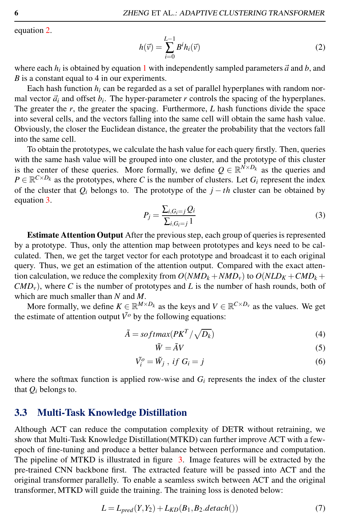<span id="page-5-0"></span>equation [2.](#page-5-0)

$$
h(\vec{v}) = \sum_{i=0}^{L-1} B^i h_i(\vec{v})
$$
 (2)

where each  $h_i$  is obtained by equation [1](#page-4-0) with independently sampled parameters  $\vec{a}$  and  $b$ , and *B* is a constant equal to 4 in our experiments.

Each hash function  $h_i$  can be regarded as a set of parallel hyperplanes with random normal vector  $\vec{a}_i$  and offset  $b_i$ . The hyper-parameter *r* controls the spacing of the hyperplanes. The greater the *r*, the greater the spacing. Furthermore, *L* hash functions divide the space into several cells, and the vectors falling into the same cell will obtain the same hash value. Obviously, the closer the Euclidean distance, the greater the probability that the vectors fall into the same cell.

To obtain the prototypes, we calculate the hash value for each query firstly. Then, queries with the same hash value will be grouped into one cluster, and the prototype of this cluster is the center of these queries. More formally, we define  $Q \in \mathbb{R}^{\bar{N} \times D_k}$  as the queries and  $P \in \mathbb{R}^{C \times D_k}$  as the prototypes, where *C* is the number of clusters. Let  $G_i$  represent the index of the cluster that  $Q_i$  belongs to. The prototype of the  $j - th$  cluster can be obtained by equation [3.](#page-5-1)

$$
P_j = \frac{\sum_{i,G_i=j} Q_i}{\sum_{i,G_i=j} 1} \tag{3}
$$

<span id="page-5-1"></span>Estimate Attention Output After the previous step, each group of queries is represented by a prototype. Thus, only the attention map between prototypes and keys need to be calculated. Then, we get the target vector for each prototype and broadcast it to each original query. Thus, we get an estimation of the attention output. Compared with the exact attention calculation, we reduce the complexity from  $O(NMD_k + NMD_v)$  to  $O(NLD_K + CMD_k +$  $\langle CMD_v \rangle$ , where *C* is the number of prototypes and *L* is the number of hash rounds, both of which are much smaller than *N* and *M*.

More formally, we define  $K \in \mathbb{R}^{M \times D_k}$  as the keys and  $V \in \mathbb{R}^{C \times D_v}$  as the values. We get the estimate of attention output  $\tilde{V}^{\rho}$  by the following equations:

$$
\tilde{A} = softmax(PK^T / \sqrt{D_k})
$$
\n(4)

$$
\tilde{W} = \tilde{A}V\tag{5}
$$

$$
\tilde{V}_i^o = \tilde{W}_j, \text{ if } G_i = j \tag{6}
$$

where the softmax function is applied row-wise and  $G_i$  represents the index of the cluster that  $Q_i$  belongs to.

#### 3.3 Multi-Task Knowledge Distillation

Although ACT can reduce the computation complexity of DETR without retraining, we show that Multi-Task Knowledge Distillation(MTKD) can further improve ACT with a fewepoch of fine-tuning and produce a better balance between performance and computation. The pipeline of MTKD is illustrated in figure [3.](#page-2-1) Image features will be extracted by the pre-trained CNN backbone first. The extracted feature will be passed into ACT and the original transformer parallelly. To enable a seamless switch between ACT and the original transformer, MTKD will guide the training. The training loss is denoted below:

$$
L = L_{pred}(Y, Y_2) + L_{KD}(B_1, B_2. detach())
$$
\n<sup>(7)</sup>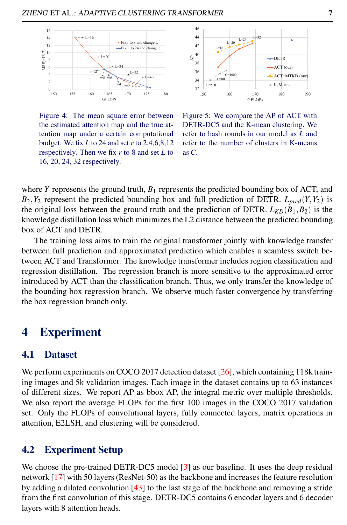

<span id="page-6-0"></span>Figure 4: The mean square error between the estimated attention map and the true attention map under a certain computational budget. We fix *L* to 24 and set *r* to 2,4,6,8,12 respectively. Then we fix *r* to 8 and set *L* to 16, 20, 24, 32 respectively.



<span id="page-6-1"></span>Figure 5: We compare the AP of ACT with DETR-DC5 and the K-mean clustering. We refer to hash rounds in our model as *L* and refer to the number of clusters in K-means as *C*.

where *Y* represents the ground truth,  $B_1$  represents the predicted bounding box of ACT, and  $B_2, Y_2$  represent the predicted bounding box and full prediction of DETR.  $L_{pred}(Y, Y_2)$  is the original loss between the ground truth and the prediction of DETR.  $L_{KD}(B_1, B_2)$  is the knowledge distillation loss which minimizes the L2 distance between the predicted bounding box of ACT and DETR.

The training loss aims to train the original transformer jointly with knowledge transfer between full prediction and approximated prediction which enables a seamless switch between ACT and Transformer. The knowledge transformer includes region classification and regression distillation. The regression branch is more sensitive to the approximated error introduced by ACT than the classification branch. Thus, we only transfer the knowledge of the bounding box regression branch. We observe much faster convergence by transferring the box regression branch only.

### 4 Experiment

#### 4.1 Dataset

We perform experiments on COCO 2017 detection dataset [\[26\]](#page-11-13), which containing 118k training images and 5k validation images. Each image in the dataset contains up to 63 instances of different sizes. We report AP as bbox AP, the integral metric over multiple thresholds. We also report the average FLOPs for the first 100 images in the COCO 2017 validation set. Only the FLOPs of convolutional layers, fully connected layers, matrix operations in attention, E2LSH, and clustering will be considered.

#### 4.2 Experiment Setup

We choose the pre-trained DETR-DC5 model [\[3\]](#page-10-0) as our baseline. It uses the deep residual network [\[17\]](#page-11-9) with 50 layers (ResNet-50) as the backbone and increases the feature resolution by adding a dilated convolution [\[43\]](#page-13-6) to the last stage of the backbone and removing a stride from the first convolution of this stage. DETR-DC5 contains 6 encoder layers and 6 decoder layers with 8 attention heads.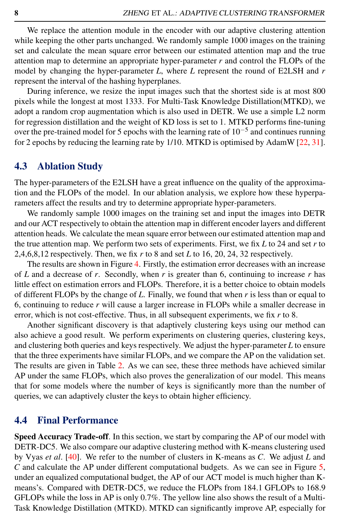We replace the attention module in the encoder with our adaptive clustering attention while keeping the other parts unchanged. We randomly sample 1000 images on the training set and calculate the mean square error between our estimated attention map and the true attention map to determine an appropriate hyper-parameter *r* and control the FLOPs of the model by changing the hyper-parameter *L*, where *L* represent the round of E2LSH and *r* represent the interval of the hashing hyperplanes.

During inference, we resize the input images such that the shortest side is at most 800 pixels while the longest at most 1333. For Multi-Task Knowledge Distillation(MTKD), we adopt a random crop augmentation which is also used in DETR. We use a simple L2 norm for regression distillation and the weight of KD loss is set to 1. MTKD performs fine-tuning over the pre-trained model for 5 epochs with the learning rate of 10<sup>-5</sup> and continues running for 2 epochs by reducing the learning rate by 1/10. MTKD is optimised by AdamW [\[22,](#page-11-14) [31](#page-12-12)].

#### 4.3 Ablation Study

The hyper-parameters of the E2LSH have a great influence on the quality of the approximation and the FLOPs of the model. In our ablation analysis, we explore how these hyperparameters affect the results and try to determine appropriate hyper-parameters.

We randomly sample 1000 images on the training set and input the images into DETR and our ACT respectively to obtain the attention map in different encoder layers and different attention heads. We calculate the mean square error between our estimated attention map and the true attention map. We perform two sets of experiments. First, we fix *L* to 24 and set *r* to 2,4,6,8,12 respectively. Then, we fix *r* to 8 and set *L* to 16, 20, 24, 32 respectively.

The results are shown in Figure [4.](#page-6-0) Firstly, the estimation error decreases with an increase of *L* and a decrease of *r*. Secondly, when *r* is greater than 6, continuing to increase *r* has little effect on estimation errors and FLOPs. Therefore, it is a better choice to obtain models of different FLOPs by the change of *L*. Finally, we found that when *r* is less than or equal to 6, continuing to reduce *r* will cause a larger increase in FLOPs while a smaller decrease in error, which is not cost-effective. Thus, in all subsequent experiments, we fix *r* to 8.

Another significant discovery is that adaptively clustering keys using our method can also achieve a good result. We perform experiments on clustering queries, clustering keys, and clustering both queries and keys respectively. We adjust the hyper-parameter *L* to ensure that the three experiments have similar FLOPs, and we compare the AP on the validation set. The results are given in Table [2.](#page-8-0) As we can see, these three methods have achieved similar AP under the same FLOPs, which also proves the generalization of our model. This means that for some models where the number of keys is significantly more than the number of queries, we can adaptively cluster the keys to obtain higher efficiency.

#### 4.4 Final Performance

Speed Accuracy Trade-off. In this section, we start by comparing the AP of our model with DETR-DC5. We also compare our adaptive clustering method with K-means clustering used by Vyas *et al*. [\[40](#page-12-7)]. We refer to the number of clusters in K-means as *C*. We adjust *L* and *C* and calculate the AP under different computational budgets. As we can see in Figure [5,](#page-6-1) under an equalized computational budget, the AP of our ACT model is much higher than Kmeans's. Compared with DETR-DC5, we reduce the FLOPs from 184.1 GFLOPs to 168.9 GFLOPs while the loss in AP is only 0.7%. The yellow line also shows the result of a Multi-Task Knowledge Distillation (MTKD). MTKD can significantly improve AP, especially for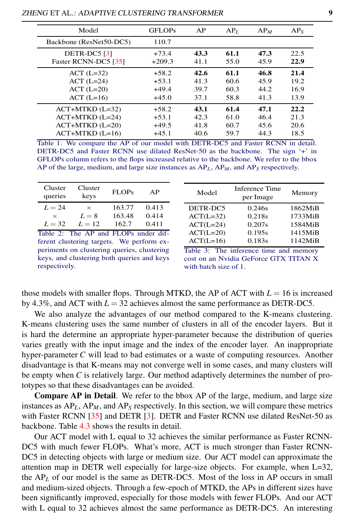| Model                                  | <b>GFLOPs</b>       | AP           | AP <sub>L</sub> | $AP_M$       | AP <sub>S</sub> |
|----------------------------------------|---------------------|--------------|-----------------|--------------|-----------------|
| Backbone (ResNet50-DC5)                | 110.7               |              |                 |              |                 |
| DETR-DC5 [3]<br>Faster RCNN-DC5 [35]   | $+73.4$<br>$+209.3$ | 43.3<br>41.1 | 61.1<br>55.0    | 47.3<br>45.9 | 22.5<br>22.9    |
| $ACT (L=32)$                           | $+58.2$             | 42.6         | 61.1            | 46.8         | 21.4            |
| $ACT (L=24)$                           | $+53.1$             | 41.3         | 60.6            | 45.9         | 19.2            |
| $ACT (L=20)$                           | $+49.4$             | 39.7         | 60.3            | 44.2         | 16.9            |
| $ACT (L=16)$                           | $+45.0$             | 37.1         | 58.8            | 41.3         | 13.9            |
| $ACT+MTKD (L=32)$<br>$ACT+MTKD (L=24)$ | $+58.2$<br>$+53.1$  | 43.1<br>42.3 | 61.4<br>61.0    | 47.1<br>46.4 | 22.2<br>21.3    |
| $ACT+MTKD (L=20)$                      | $+49.5$             | 41.8         | 60.7            | 45.6         | 20.6            |
| $ACT+MTKD (L=16)$                      | $+45.1$             | 40.6         | 59.7            | 44.3         | 18.5            |

ZHENG ET AL.: ADAPTIVE CLUSTERING TRANSFORMER 9

<span id="page-8-1"></span>Table 1: We compare the AP of our model with DETR-DC5 and Faster RCNN in detail. DETR-DC5 and Faster RCNN use dilated ResNet-50 as the backbone. The sign '+' in GFLOPs column refers to the flops increased relative to the backbone. We refer to the bbox AP of the large, medium, and large size instances as AP*L*, AP*M*, and AP*<sup>S</sup>* respectively.

| Cluster<br>queries | Cluster<br>keys | <b>FLOPs</b> | АP    |
|--------------------|-----------------|--------------|-------|
| $L = 24$           | $\times$        | 163.77       | 0.413 |
| $\times$           | $L=8$           | 163.48       | 0.414 |
| $L = 32$           | $L = 12$        | 162.7        | 0.411 |

<span id="page-8-0"></span>Table 2: The AP and FLOPs under different clustering targets. We perform experiments on clustering queries, clustering keys, and clustering both queries and keys respectively.

| $ACT(L=32)$ | 0.218s                                 | 1733MiB |
|-------------|----------------------------------------|---------|
| $ACT(L=24)$ | 0.207s                                 | 1584MiB |
| $ACT(L=20)$ | 0.195s                                 | 1415MiB |
| $ACT(L=16)$ | 0.183s                                 | 1142MiB |
|             | Table 3: The inference time and memory |         |

DETR-DC5 0.246s 1862MiB

per Image Memory

Model Inference Time

<span id="page-8-2"></span>cost on an Nvidia GeForce GTX TITAN X with batch size of 1.

those models with smaller flops. Through MTKD, the AP of ACT with  $L = 16$  is increased by 4.3%, and ACT with  $L = 32$  achieves almost the same performance as DETR-DC5.

We also analyze the advantages of our method compared to the K-means clustering. K-means clustering uses the same number of clusters in all of the encoder layers. But it is hard the determine an appropriate hyper-parameter because the distribution of queries varies greatly with the input image and the index of the encoder layer. An inappropriate hyper-parameter *C* will lead to bad estimates or a waste of computing resources. Another disadvantage is that K-means may not converge well in some cases, and many clusters will be empty when *C* is relatively large. Our method adaptively determines the number of prototypes so that these disadvantages can be avoided.

Compare AP in Detail. We refer to the bbox AP of the large, medium, and large size instances as AP*L*, AP*M*, and AP*<sup>S</sup>* respectively. In this section, we will compare these metrics with Faster RCNN [\[35](#page-12-2)] and DETR [\[3\]](#page-10-0). DETR and Faster RCNN use dilated ResNet-50 as backbone. Table [4.3](#page-8-1) shows the results in detail.

Our ACT model with L equal to 32 achieves the similar performance as Faster RCNN-DC5 with much fewer FLOPs. What's more, ACT is much stronger than Faster RCNN-DC5 in detecting objects with large or medium size. Our ACT model can approximate the attention map in DETR well especially for large-size objects. For example, when L=32, the AP*<sup>L</sup>* of our model is the same as DETR-DC5. Most of the loss in AP occurs in small and medium-sized objects. Through a few-epoch of MTKD, the APs in different sizes have been significantly improved, especially for those models with fewer FLOPs. And our ACT with L equal to 32 achieves almost the same performance as DETR-DC5. An interesting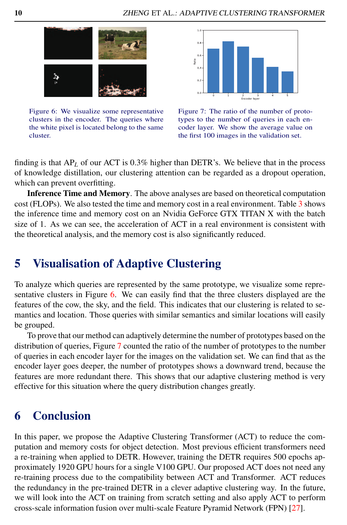

Figure 6: We visualize some representative clusters in the encoder. The queries where the white pixel is located belong to the same cluster.



<span id="page-9-1"></span>Figure 7: The ratio of the number of prototypes to the number of queries in each encoder layer. We show the average value on the first 100 images in the validation set.

<span id="page-9-0"></span>finding is that AP*<sup>L</sup>* of our ACT is 0.3% higher than DETR's. We believe that in the process of knowledge distillation, our clustering attention can be regarded as a dropout operation, which can prevent overfitting.

Inference Time and Memory. The above analyses are based on theoretical computation cost (FLOPs). We also tested the time and memory cost in a real environment. Table [3](#page-8-2) shows the inference time and memory cost on an Nvidia GeForce GTX TITAN X with the batch size of 1. As we can see, the acceleration of ACT in a real environment is consistent with the theoretical analysis, and the memory cost is also significantly reduced.

## 5 Visualisation of Adaptive Clustering

To analyze which queries are represented by the same prototype, we visualize some representative clusters in Figure [6.](#page-9-0) We can easily find that the three clusters displayed are the features of the cow, the sky, and the field. This indicates that our clustering is related to semantics and location. Those queries with similar semantics and similar locations will easily be grouped.

To prove that our method can adaptively determine the number of prototypes based on the distribution of queries, Figure [7](#page-9-1) counted the ratio of the number of prototypes to the number of queries in each encoder layer for the images on the validation set. We can find that as the encoder layer goes deeper, the number of prototypes shows a downward trend, because the features are more redundant there. This shows that our adaptive clustering method is very effective for this situation where the query distribution changes greatly.

## 6 Conclusion

In this paper, we propose the Adaptive Clustering Transformer (ACT) to reduce the computation and memory costs for object detection. Most previous efficient transformers need a re-training when applied to DETR. However, training the DETR requires 500 epochs approximately 1920 GPU hours for a single V100 GPU. Our proposed ACT does not need any re-training process due to the compatibility between ACT and Transformer. ACT reduces the redundancy in the pre-trained DETR in a clever adaptive clustering way. In the future, we will look into the ACT on training from scratch setting and also apply ACT to perform cross-scale information fusion over multi-scale Feature Pyramid Network (FPN) [\[27\]](#page-12-13).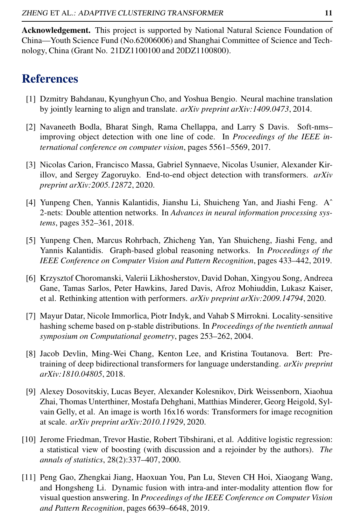Acknowledgement. This project is supported by National Natural Science Foundation of China—Youth Science Fund (No.62006006) and Shanghai Committee of Science and Technology, China (Grant No. 21DZ1100100 and 20DZ1100800).

## References

- <span id="page-10-4"></span>[1] Dzmitry Bahdanau, Kyunghyun Cho, and Yoshua Bengio. Neural machine translation by jointly learning to align and translate. *arXiv preprint arXiv:1409.0473*, 2014.
- <span id="page-10-10"></span>[2] Navaneeth Bodla, Bharat Singh, Rama Chellappa, and Larry S Davis. Soft-nms– improving object detection with one line of code. In *Proceedings of the IEEE international conference on computer vision*, pages 5561–5569, 2017.
- <span id="page-10-0"></span>[3] Nicolas Carion, Francisco Massa, Gabriel Synnaeve, Nicolas Usunier, Alexander Kirillov, and Sergey Zagoruyko. End-to-end object detection with transformers. *arXiv preprint arXiv:2005.12872*, 2020.
- <span id="page-10-1"></span>[4] Yunpeng Chen, Yannis Kalantidis, Jianshu Li, Shuicheng Yan, and Jiashi Feng. Aˆ 2-nets: Double attention networks. In *Advances in neural information processing systems*, pages 352–361, 2018.
- <span id="page-10-2"></span>[5] Yunpeng Chen, Marcus Rohrbach, Zhicheng Yan, Yan Shuicheng, Jiashi Feng, and Yannis Kalantidis. Graph-based global reasoning networks. In *Proceedings of the IEEE Conference on Computer Vision and Pattern Recognition*, pages 433–442, 2019.
- <span id="page-10-3"></span>[6] Krzysztof Choromanski, Valerii Likhosherstov, David Dohan, Xingyou Song, Andreea Gane, Tamas Sarlos, Peter Hawkins, Jared Davis, Afroz Mohiuddin, Lukasz Kaiser, et al. Rethinking attention with performers. *arXiv preprint arXiv:2009.14794*, 2020.
- <span id="page-10-8"></span>[7] Mayur Datar, Nicole Immorlica, Piotr Indyk, and Vahab S Mirrokni. Locality-sensitive hashing scheme based on p-stable distributions. In *Proceedings of the twentieth annual symposium on Computational geometry*, pages 253–262, 2004.
- <span id="page-10-7"></span>[8] Jacob Devlin, Ming-Wei Chang, Kenton Lee, and Kristina Toutanova. Bert: Pretraining of deep bidirectional transformers for language understanding. *arXiv preprint arXiv:1810.04805*, 2018.
- <span id="page-10-6"></span>[9] Alexey Dosovitskiy, Lucas Beyer, Alexander Kolesnikov, Dirk Weissenborn, Xiaohua Zhai, Thomas Unterthiner, Mostafa Dehghani, Matthias Minderer, Georg Heigold, Sylvain Gelly, et al. An image is worth 16x16 words: Transformers for image recognition at scale. *arXiv preprint arXiv:2010.11929*, 2020.
- <span id="page-10-9"></span>[10] Jerome Friedman, Trevor Hastie, Robert Tibshirani, et al. Additive logistic regression: a statistical view of boosting (with discussion and a rejoinder by the authors). *The annals of statistics*, 28(2):337–407, 2000.
- <span id="page-10-5"></span>[11] Peng Gao, Zhengkai Jiang, Haoxuan You, Pan Lu, Steven CH Hoi, Xiaogang Wang, and Hongsheng Li. Dynamic fusion with intra-and inter-modality attention flow for visual question answering. In *Proceedings of the IEEE Conference on Computer Vision and Pattern Recognition*, pages 6639–6648, 2019.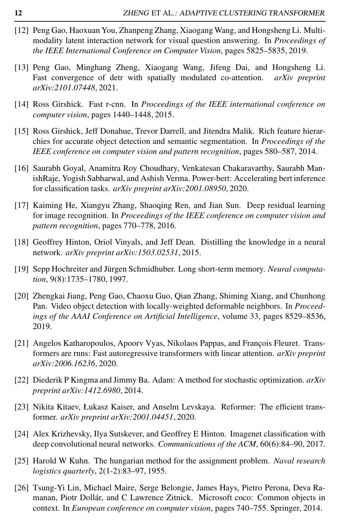- <span id="page-11-3"></span>[12] Peng Gao, Haoxuan You, Zhanpeng Zhang, Xiaogang Wang, and Hongsheng Li. Multimodality latent interaction network for visual question answering. In *Proceedings of the IEEE International Conference on Computer Vision*, pages 5825–5835, 2019.
- <span id="page-11-12"></span>[13] Peng Gao, Minghang Zheng, Xiaogang Wang, Jifeng Dai, and Hongsheng Li. Fast convergence of detr with spatially modulated co-attention. *arXiv preprint arXiv:2101.07448*, 2021.
- <span id="page-11-0"></span>[14] Ross Girshick. Fast r-cnn. In *Proceedings of the IEEE international conference on computer vision*, pages 1440–1448, 2015.
- <span id="page-11-1"></span>[15] Ross Girshick, Jeff Donahue, Trevor Darrell, and Jitendra Malik. Rich feature hierarchies for accurate object detection and semantic segmentation. In *Proceedings of the IEEE conference on computer vision and pattern recognition*, pages 580–587, 2014.
- <span id="page-11-4"></span>[16] Saurabh Goyal, Anamitra Roy Choudhary, Venkatesan Chakaravarthy, Saurabh ManishRaje, Yogish Sabharwal, and Ashish Verma. Power-bert: Accelerating bert inference for classification tasks. *arXiv preprint arXiv:2001.08950*, 2020.
- <span id="page-11-9"></span>[17] Kaiming He, Xiangyu Zhang, Shaoqing Ren, and Jian Sun. Deep residual learning for image recognition. In *Proceedings of the IEEE conference on computer vision and pattern recognition*, pages 770–778, 2016.
- <span id="page-11-8"></span>[18] Geoffrey Hinton, Oriol Vinyals, and Jeff Dean. Distilling the knowledge in a neural network. *arXiv preprint arXiv:1503.02531*, 2015.
- <span id="page-11-11"></span>[19] Sepp Hochreiter and Jürgen Schmidhuber. Long short-term memory. *Neural computation*, 9(8):1735–1780, 1997.
- <span id="page-11-7"></span>[20] Zhengkai Jiang, Peng Gao, Chaoxu Guo, Qian Zhang, Shiming Xiang, and Chunhong Pan. Video object detection with locally-weighted deformable neighbors. In *Proceedings of the AAAI Conference on Artificial Intelligence*, volume 33, pages 8529–8536, 2019.
- <span id="page-11-5"></span>[21] Angelos Katharopoulos, Apoorv Vyas, Nikolaos Pappas, and François Fleuret. Transformers are rnns: Fast autoregressive transformers with linear attention. *arXiv preprint arXiv:2006.16236*, 2020.
- <span id="page-11-14"></span>[22] Diederik P Kingma and Jimmy Ba. Adam: A method for stochastic optimization. *arXiv preprint arXiv:1412.6980*, 2014.
- <span id="page-11-6"></span>[23] Nikita Kitaev, Łukasz Kaiser, and Anselm Levskaya. Reformer: The efficient transformer. *arXiv preprint arXiv:2001.04451*, 2020.
- <span id="page-11-10"></span>[24] Alex Krizhevsky, Ilya Sutskever, and Geoffrey E Hinton. Imagenet classification with deep convolutional neural networks. *Communications of the ACM*, 60(6):84–90, 2017.
- <span id="page-11-2"></span>[25] Harold W Kuhn. The hungarian method for the assignment problem. *Naval research logistics quarterly*, 2(1-2):83–97, 1955.
- <span id="page-11-13"></span>[26] Tsung-Yi Lin, Michael Maire, Serge Belongie, James Hays, Pietro Perona, Deva Ramanan, Piotr Dollár, and C Lawrence Zitnick. Microsoft coco: Common objects in context. In *European conference on computer vision*, pages 740–755. Springer, 2014.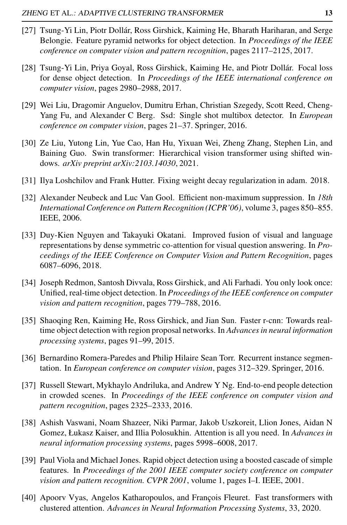- <span id="page-12-13"></span>[27] Tsung-Yi Lin, Piotr Dollár, Ross Girshick, Kaiming He, Bharath Hariharan, and Serge Belongie. Feature pyramid networks for object detection. In *Proceedings of the IEEE conference on computer vision and pattern recognition*, pages 2117–2125, 2017.
- <span id="page-12-11"></span>[28] Tsung-Yi Lin, Priya Goyal, Ross Girshick, Kaiming He, and Piotr Dollár. Focal loss for dense object detection. In *Proceedings of the IEEE international conference on computer vision*, pages 2980–2988, 2017.
- <span id="page-12-0"></span>[29] Wei Liu, Dragomir Anguelov, Dumitru Erhan, Christian Szegedy, Scott Reed, Cheng-Yang Fu, and Alexander C Berg. Ssd: Single shot multibox detector. In *European conference on computer vision*, pages 21–37. Springer, 2016.
- <span id="page-12-9"></span>[30] Ze Liu, Yutong Lin, Yue Cao, Han Hu, Yixuan Wei, Zheng Zhang, Stephen Lin, and Baining Guo. Swin transformer: Hierarchical vision transformer using shifted windows. *arXiv preprint arXiv:2103.14030*, 2021.
- <span id="page-12-12"></span>[31] Ilya Loshchilov and Frank Hutter. Fixing weight decay regularization in adam. 2018.
- <span id="page-12-10"></span>[32] Alexander Neubeck and Luc Van Gool. Efficient non-maximum suppression. In *18th International Conference on Pattern Recognition (ICPR'06)*, volume 3, pages 850–855. IEEE, 2006.
- <span id="page-12-8"></span>[33] Duy-Kien Nguyen and Takayuki Okatani. Improved fusion of visual and language representations by dense symmetric co-attention for visual question answering. In *Proceedings of the IEEE Conference on Computer Vision and Pattern Recognition*, pages 6087–6096, 2018.
- <span id="page-12-1"></span>[34] Joseph Redmon, Santosh Divvala, Ross Girshick, and Ali Farhadi. You only look once: Unified, real-time object detection. In *Proceedings of the IEEE conference on computer vision and pattern recognition*, pages 779–788, 2016.
- <span id="page-12-2"></span>[35] Shaoqing Ren, Kaiming He, Ross Girshick, and Jian Sun. Faster r-cnn: Towards realtime object detection with region proposal networks. In *Advances in neural information processing systems*, pages 91–99, 2015.
- <span id="page-12-5"></span>[36] Bernardino Romera-Paredes and Philip Hilaire Sean Torr. Recurrent instance segmentation. In *European conference on computer vision*, pages 312–329. Springer, 2016.
- <span id="page-12-6"></span>[37] Russell Stewart, Mykhaylo Andriluka, and Andrew Y Ng. End-to-end people detection in crowded scenes. In *Proceedings of the IEEE conference on computer vision and pattern recognition*, pages 2325–2333, 2016.
- <span id="page-12-4"></span>[38] Ashish Vaswani, Noam Shazeer, Niki Parmar, Jakob Uszkoreit, Llion Jones, Aidan N Gomez, Łukasz Kaiser, and Illia Polosukhin. Attention is all you need. In *Advances in neural information processing systems*, pages 5998–6008, 2017.
- <span id="page-12-3"></span>[39] Paul Viola and Michael Jones. Rapid object detection using a boosted cascade of simple features. In *Proceedings of the 2001 IEEE computer society conference on computer vision and pattern recognition. CVPR 2001*, volume 1, pages I–I. IEEE, 2001.
- <span id="page-12-7"></span>[40] Apoorv Vyas, Angelos Katharopoulos, and François Fleuret. Fast transformers with clustered attention. *Advances in Neural Information Processing Systems*, 33, 2020.